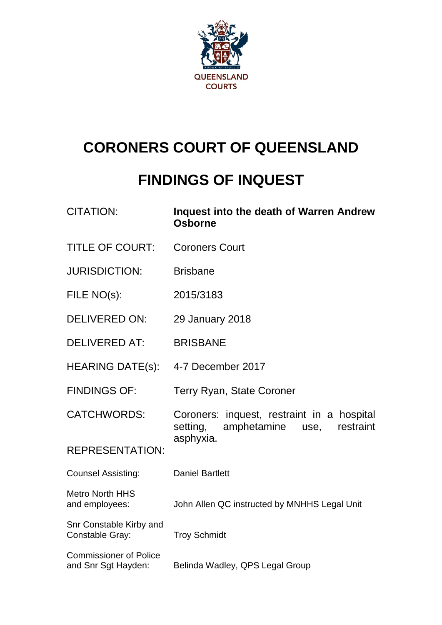

# **CORONERS COURT OF QUEENSLAND**

## **FINDINGS OF INQUEST**

| <b>CITATION:</b>                                     | Inquest into the death of Warren Andrew<br><b>Osborne</b>                                  |  |
|------------------------------------------------------|--------------------------------------------------------------------------------------------|--|
| <b>TITLE OF COURT:</b>                               | <b>Coroners Court</b>                                                                      |  |
| <b>JURISDICTION:</b>                                 | <b>Brisbane</b>                                                                            |  |
| FILE NO(s):                                          | 2015/3183                                                                                  |  |
| <b>DELIVERED ON:</b>                                 | 29 January 2018                                                                            |  |
| <b>DELIVERED AT:</b>                                 | <b>BRISBANE</b>                                                                            |  |
| <b>HEARING DATE(s):</b>                              | 4-7 December 2017                                                                          |  |
| <b>FINDINGS OF:</b>                                  | Terry Ryan, State Coroner                                                                  |  |
| <b>CATCHWORDS:</b>                                   | Coroners: inquest, restraint in a hospital<br>amphetamine<br>restraint<br>setting,<br>use, |  |
| <b>REPRESENTATION:</b>                               | asphyxia.                                                                                  |  |
| <b>Counsel Assisting:</b>                            | <b>Daniel Bartlett</b>                                                                     |  |
| <b>Metro North HHS</b><br>and employees:             | John Allen QC instructed by MNHHS Legal Unit                                               |  |
| Snr Constable Kirby and<br>Constable Gray:           | <b>Troy Schmidt</b>                                                                        |  |
| <b>Commissioner of Police</b><br>and Snr Sgt Hayden: | Belinda Wadley, QPS Legal Group                                                            |  |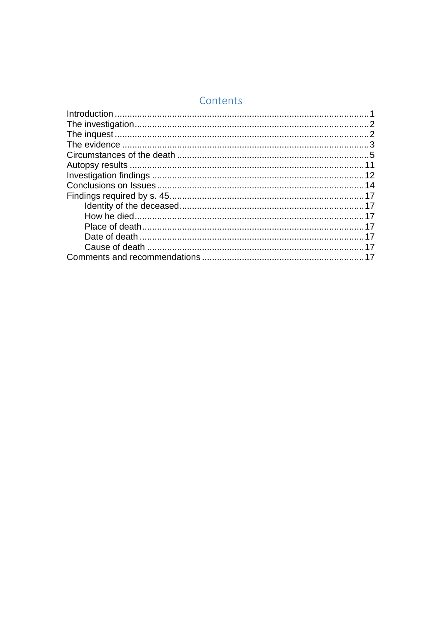## Contents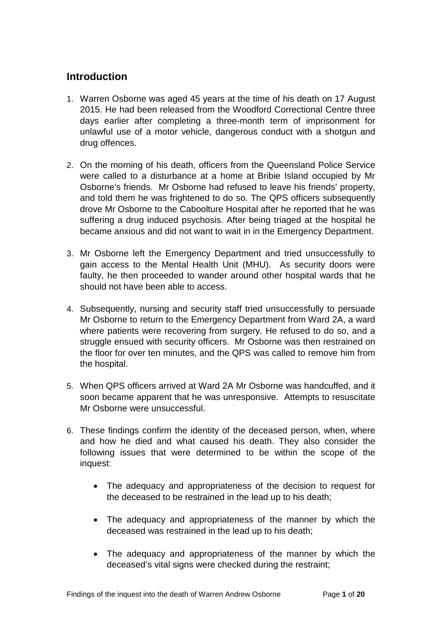## <span id="page-2-0"></span>**Introduction**

- 1. Warren Osborne was aged 45 years at the time of his death on 17 August 2015. He had been released from the Woodford Correctional Centre three days earlier after completing a three-month term of imprisonment for unlawful use of a motor vehicle, dangerous conduct with a shotgun and drug offences.
- 2. On the morning of his death, officers from the Queensland Police Service were called to a disturbance at a home at Bribie Island occupied by Mr Osborne's friends. Mr Osborne had refused to leave his friends' property, and told them he was frightened to do so. The QPS officers subsequently drove Mr Osborne to the Caboolture Hospital after he reported that he was suffering a drug induced psychosis. After being triaged at the hospital he became anxious and did not want to wait in in the Emergency Department.
- 3. Mr Osborne left the Emergency Department and tried unsuccessfully to gain access to the Mental Health Unit (MHU). As security doors were faulty, he then proceeded to wander around other hospital wards that he should not have been able to access.
- 4. Subsequently, nursing and security staff tried unsuccessfully to persuade Mr Osborne to return to the Emergency Department from Ward 2A, a ward where patients were recovering from surgery. He refused to do so, and a struggle ensued with security officers. Mr Osborne was then restrained on the floor for over ten minutes, and the QPS was called to remove him from the hospital.
- 5. When QPS officers arrived at Ward 2A Mr Osborne was handcuffed, and it soon became apparent that he was unresponsive. Attempts to resuscitate Mr Osborne were unsuccessful.
- 6. These findings confirm the identity of the deceased person, when, where and how he died and what caused his death. They also consider the following issues that were determined to be within the scope of the inquest:
	- The adequacy and appropriateness of the decision to request for the deceased to be restrained in the lead up to his death;
	- The adequacy and appropriateness of the manner by which the deceased was restrained in the lead up to his death;
	- The adequacy and appropriateness of the manner by which the deceased's vital signs were checked during the restraint;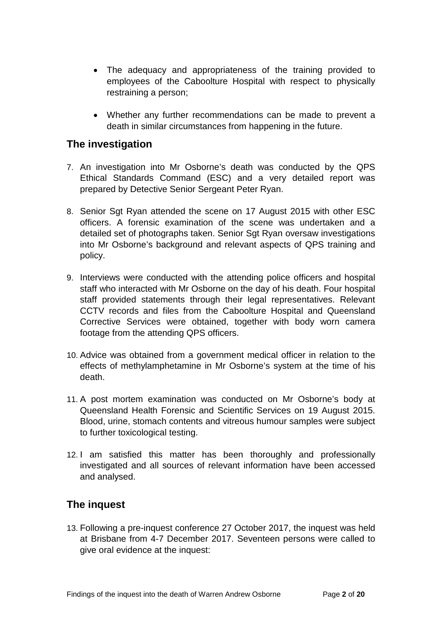- The adequacy and appropriateness of the training provided to employees of the Caboolture Hospital with respect to physically restraining a person;
- Whether any further recommendations can be made to prevent a death in similar circumstances from happening in the future.

## <span id="page-3-0"></span>**The investigation**

- 7. An investigation into Mr Osborne's death was conducted by the QPS Ethical Standards Command (ESC) and a very detailed report was prepared by Detective Senior Sergeant Peter Ryan.
- 8. Senior Sgt Ryan attended the scene on 17 August 2015 with other ESC officers. A forensic examination of the scene was undertaken and a detailed set of photographs taken. Senior Sgt Ryan oversaw investigations into Mr Osborne's background and relevant aspects of QPS training and policy.
- 9. Interviews were conducted with the attending police officers and hospital staff who interacted with Mr Osborne on the day of his death. Four hospital staff provided statements through their legal representatives. Relevant CCTV records and files from the Caboolture Hospital and Queensland Corrective Services were obtained, together with body worn camera footage from the attending QPS officers.
- 10. Advice was obtained from a government medical officer in relation to the effects of methylamphetamine in Mr Osborne's system at the time of his death.
- 11. A post mortem examination was conducted on Mr Osborne's body at Queensland Health Forensic and Scientific Services on 19 August 2015. Blood, urine, stomach contents and vitreous humour samples were subject to further toxicological testing.
- 12. I am satisfied this matter has been thoroughly and professionally investigated and all sources of relevant information have been accessed and analysed.

## <span id="page-3-1"></span>**The inquest**

13. Following a pre-inquest conference 27 October 2017, the inquest was held at Brisbane from 4-7 December 2017. Seventeen persons were called to give oral evidence at the inquest: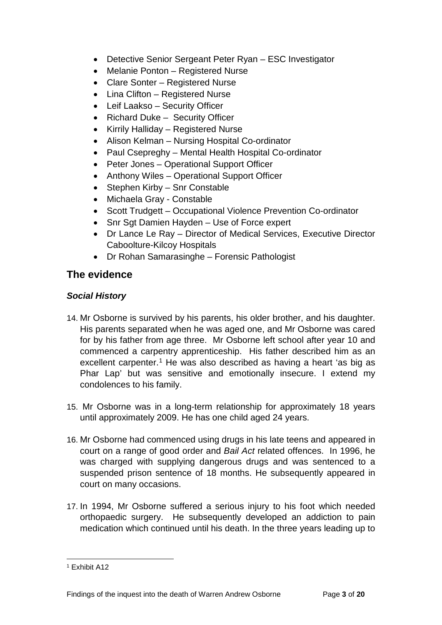- Detective Senior Sergeant Peter Ryan ESC Investigator
- Melanie Ponton Registered Nurse
- Clare Sonter Registered Nurse
- Lina Clifton Registered Nurse
- Leif Laakso Security Officer
- Richard Duke Security Officer
- Kirrily Halliday Registered Nurse
- Alison Kelman Nursing Hospital Co-ordinator
- Paul Csepreghy Mental Health Hospital Co-ordinator
- Peter Jones Operational Support Officer
- Anthony Wiles Operational Support Officer
- Stephen Kirby Snr Constable
- Michaela Gray Constable
- Scott Trudgett Occupational Violence Prevention Co-ordinator
- Snr Sgt Damien Hayden Use of Force expert
- Dr Lance Le Ray Director of Medical Services, Executive Director Caboolture-Kilcoy Hospitals
- Dr Rohan Samarasinghe Forensic Pathologist

## <span id="page-4-0"></span>**The evidence**

#### *Social History*

- 14. Mr Osborne is survived by his parents, his older brother, and his daughter. His parents separated when he was aged one, and Mr Osborne was cared for by his father from age three. Mr Osborne left school after year 10 and commenced a carpentry apprenticeship. His father described him as an excellent carpenter.<sup>[1](#page-4-1)</sup> He was also described as having a heart 'as big as Phar Lap' but was sensitive and emotionally insecure. I extend my condolences to his family.
- 15. Mr Osborne was in a long-term relationship for approximately 18 years until approximately 2009. He has one child aged 24 years.
- 16. Mr Osborne had commenced using drugs in his late teens and appeared in court on a range of good order and *Bail Act* related offences. In 1996, he was charged with supplying dangerous drugs and was sentenced to a suspended prison sentence of 18 months. He subsequently appeared in court on many occasions.
- 17. In 1994, Mr Osborne suffered a serious injury to his foot which needed orthopaedic surgery. He subsequently developed an addiction to pain medication which continued until his death. In the three years leading up to

<span id="page-4-1"></span><sup>1</sup> Exhibit A12  $\overline{a}$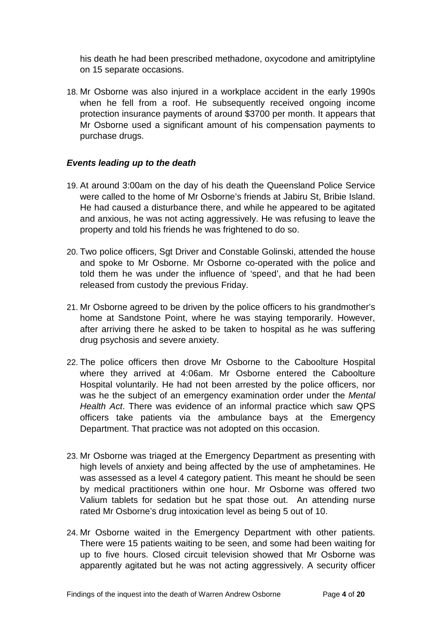his death he had been prescribed methadone, oxycodone and amitriptyline on 15 separate occasions.

18. Mr Osborne was also injured in a workplace accident in the early 1990s when he fell from a roof. He subsequently received ongoing income protection insurance payments of around \$3700 per month. It appears that Mr Osborne used a significant amount of his compensation payments to purchase drugs.

#### *Events leading up to the death*

- 19. At around 3:00am on the day of his death the Queensland Police Service were called to the home of Mr Osborne's friends at Jabiru St, Bribie Island. He had caused a disturbance there, and while he appeared to be agitated and anxious, he was not acting aggressively. He was refusing to leave the property and told his friends he was frightened to do so.
- 20. Two police officers, Sgt Driver and Constable Golinski, attended the house and spoke to Mr Osborne. Mr Osborne co-operated with the police and told them he was under the influence of 'speed', and that he had been released from custody the previous Friday.
- 21. Mr Osborne agreed to be driven by the police officers to his grandmother's home at Sandstone Point, where he was staying temporarily. However, after arriving there he asked to be taken to hospital as he was suffering drug psychosis and severe anxiety.
- 22. The police officers then drove Mr Osborne to the Caboolture Hospital where they arrived at 4:06am. Mr Osborne entered the Caboolture Hospital voluntarily. He had not been arrested by the police officers, nor was he the subject of an emergency examination order under the *Mental Health Act*. There was evidence of an informal practice which saw QPS officers take patients via the ambulance bays at the Emergency Department. That practice was not adopted on this occasion.
- 23. Mr Osborne was triaged at the Emergency Department as presenting with high levels of anxiety and being affected by the use of amphetamines. He was assessed as a level 4 category patient. This meant he should be seen by medical practitioners within one hour. Mr Osborne was offered two Valium tablets for sedation but he spat those out. An attending nurse rated Mr Osborne's drug intoxication level as being 5 out of 10.
- 24. Mr Osborne waited in the Emergency Department with other patients. There were 15 patients waiting to be seen, and some had been waiting for up to five hours. Closed circuit television showed that Mr Osborne was apparently agitated but he was not acting aggressively. A security officer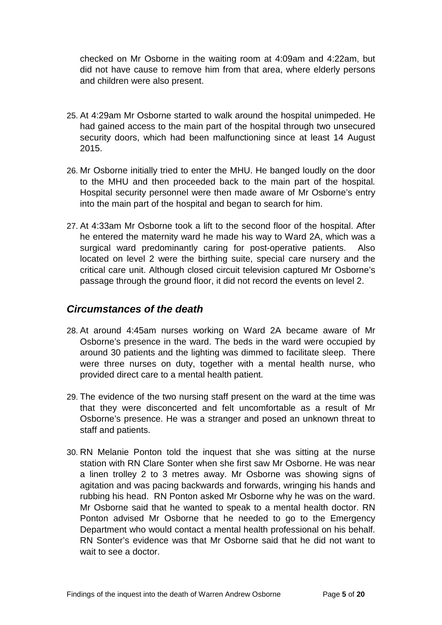checked on Mr Osborne in the waiting room at 4:09am and 4:22am, but did not have cause to remove him from that area, where elderly persons and children were also present.

- 25. At 4:29am Mr Osborne started to walk around the hospital unimpeded. He had gained access to the main part of the hospital through two unsecured security doors, which had been malfunctioning since at least 14 August 2015.
- 26. Mr Osborne initially tried to enter the MHU. He banged loudly on the door to the MHU and then proceeded back to the main part of the hospital. Hospital security personnel were then made aware of Mr Osborne's entry into the main part of the hospital and began to search for him.
- 27. At 4:33am Mr Osborne took a lift to the second floor of the hospital. After he entered the maternity ward he made his way to Ward 2A, which was a surgical ward predominantly caring for post-operative patients. Also located on level 2 were the birthing suite, special care nursery and the critical care unit. Although closed circuit television captured Mr Osborne's passage through the ground floor, it did not record the events on level 2.

#### <span id="page-6-0"></span>*Circumstances of the death*

- 28. At around 4:45am nurses working on Ward 2A became aware of Mr Osborne's presence in the ward. The beds in the ward were occupied by around 30 patients and the lighting was dimmed to facilitate sleep. There were three nurses on duty, together with a mental health nurse, who provided direct care to a mental health patient.
- 29. The evidence of the two nursing staff present on the ward at the time was that they were disconcerted and felt uncomfortable as a result of Mr Osborne's presence. He was a stranger and posed an unknown threat to staff and patients.
- 30. RN Melanie Ponton told the inquest that she was sitting at the nurse station with RN Clare Sonter when she first saw Mr Osborne. He was near a linen trolley 2 to 3 metres away. Mr Osborne was showing signs of agitation and was pacing backwards and forwards, wringing his hands and rubbing his head. RN Ponton asked Mr Osborne why he was on the ward. Mr Osborne said that he wanted to speak to a mental health doctor. RN Ponton advised Mr Osborne that he needed to go to the Emergency Department who would contact a mental health professional on his behalf. RN Sonter's evidence was that Mr Osborne said that he did not want to wait to see a doctor.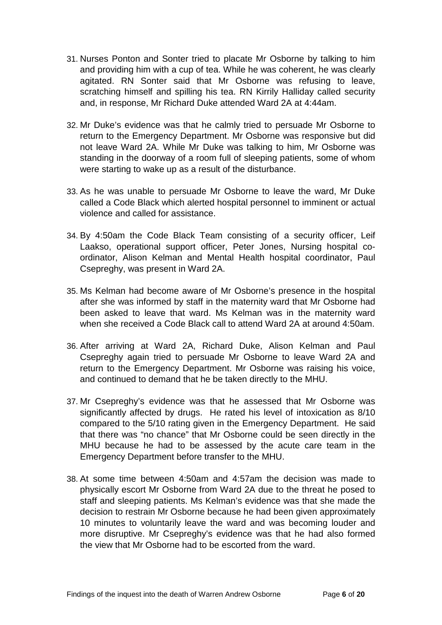- 31. Nurses Ponton and Sonter tried to placate Mr Osborne by talking to him and providing him with a cup of tea. While he was coherent, he was clearly agitated. RN Sonter said that Mr Osborne was refusing to leave, scratching himself and spilling his tea. RN Kirrily Halliday called security and, in response, Mr Richard Duke attended Ward 2A at 4:44am.
- 32. Mr Duke's evidence was that he calmly tried to persuade Mr Osborne to return to the Emergency Department. Mr Osborne was responsive but did not leave Ward 2A. While Mr Duke was talking to him, Mr Osborne was standing in the doorway of a room full of sleeping patients, some of whom were starting to wake up as a result of the disturbance.
- 33. As he was unable to persuade Mr Osborne to leave the ward, Mr Duke called a Code Black which alerted hospital personnel to imminent or actual violence and called for assistance.
- 34. By 4:50am the Code Black Team consisting of a security officer, Leif Laakso, operational support officer, Peter Jones, Nursing hospital coordinator, Alison Kelman and Mental Health hospital coordinator, Paul Csepreghy, was present in Ward 2A.
- 35. Ms Kelman had become aware of Mr Osborne's presence in the hospital after she was informed by staff in the maternity ward that Mr Osborne had been asked to leave that ward. Ms Kelman was in the maternity ward when she received a Code Black call to attend Ward 2A at around 4:50am.
- 36. After arriving at Ward 2A, Richard Duke, Alison Kelman and Paul Csepreghy again tried to persuade Mr Osborne to leave Ward 2A and return to the Emergency Department. Mr Osborne was raising his voice, and continued to demand that he be taken directly to the MHU.
- 37. Mr Csepreghy's evidence was that he assessed that Mr Osborne was significantly affected by drugs. He rated his level of intoxication as 8/10 compared to the 5/10 rating given in the Emergency Department. He said that there was "no chance" that Mr Osborne could be seen directly in the MHU because he had to be assessed by the acute care team in the Emergency Department before transfer to the MHU.
- 38. At some time between 4:50am and 4:57am the decision was made to physically escort Mr Osborne from Ward 2A due to the threat he posed to staff and sleeping patients. Ms Kelman's evidence was that she made the decision to restrain Mr Osborne because he had been given approximately 10 minutes to voluntarily leave the ward and was becoming louder and more disruptive. Mr Csepreghy's evidence was that he had also formed the view that Mr Osborne had to be escorted from the ward.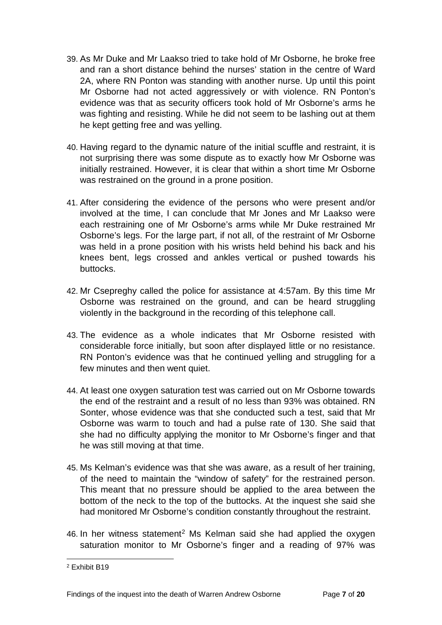- 39. As Mr Duke and Mr Laakso tried to take hold of Mr Osborne, he broke free and ran a short distance behind the nurses' station in the centre of Ward 2A, where RN Ponton was standing with another nurse. Up until this point Mr Osborne had not acted aggressively or with violence. RN Ponton's evidence was that as security officers took hold of Mr Osborne's arms he was fighting and resisting. While he did not seem to be lashing out at them he kept getting free and was yelling.
- 40. Having regard to the dynamic nature of the initial scuffle and restraint, it is not surprising there was some dispute as to exactly how Mr Osborne was initially restrained. However, it is clear that within a short time Mr Osborne was restrained on the ground in a prone position.
- 41. After considering the evidence of the persons who were present and/or involved at the time, I can conclude that Mr Jones and Mr Laakso were each restraining one of Mr Osborne's arms while Mr Duke restrained Mr Osborne's legs. For the large part, if not all, of the restraint of Mr Osborne was held in a prone position with his wrists held behind his back and his knees bent, legs crossed and ankles vertical or pushed towards his buttocks.
- 42. Mr Csepreghy called the police for assistance at 4:57am. By this time Mr Osborne was restrained on the ground, and can be heard struggling violently in the background in the recording of this telephone call.
- 43. The evidence as a whole indicates that Mr Osborne resisted with considerable force initially, but soon after displayed little or no resistance. RN Ponton's evidence was that he continued yelling and struggling for a few minutes and then went quiet.
- 44. At least one oxygen saturation test was carried out on Mr Osborne towards the end of the restraint and a result of no less than 93% was obtained. RN Sonter, whose evidence was that she conducted such a test, said that Mr Osborne was warm to touch and had a pulse rate of 130. She said that she had no difficulty applying the monitor to Mr Osborne's finger and that he was still moving at that time.
- 45. Ms Kelman's evidence was that she was aware, as a result of her training, of the need to maintain the "window of safety" for the restrained person. This meant that no pressure should be applied to the area between the bottom of the neck to the top of the buttocks. At the inquest she said she had monitored Mr Osborne's condition constantly throughout the restraint.
- 46. In her witness statement<sup>[2](#page-8-0)</sup> Ms Kelman said she had applied the oxygen saturation monitor to Mr Osborne's finger and a reading of 97% was

<span id="page-8-0"></span><sup>2</sup> Exhibit B19  $\overline{a}$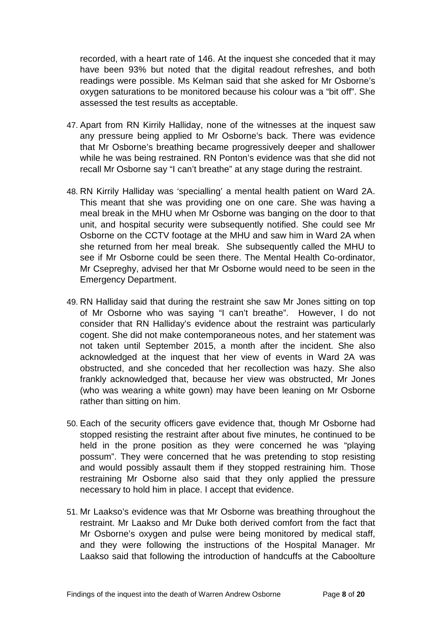recorded, with a heart rate of 146. At the inquest she conceded that it may have been 93% but noted that the digital readout refreshes, and both readings were possible. Ms Kelman said that she asked for Mr Osborne's oxygen saturations to be monitored because his colour was a "bit off". She assessed the test results as acceptable.

- 47. Apart from RN Kirrily Halliday, none of the witnesses at the inquest saw any pressure being applied to Mr Osborne's back. There was evidence that Mr Osborne's breathing became progressively deeper and shallower while he was being restrained. RN Ponton's evidence was that she did not recall Mr Osborne say "I can't breathe" at any stage during the restraint.
- 48. RN Kirrily Halliday was 'specialling' a mental health patient on Ward 2A. This meant that she was providing one on one care. She was having a meal break in the MHU when Mr Osborne was banging on the door to that unit, and hospital security were subsequently notified. She could see Mr Osborne on the CCTV footage at the MHU and saw him in Ward 2A when she returned from her meal break. She subsequently called the MHU to see if Mr Osborne could be seen there. The Mental Health Co-ordinator, Mr Csepreghy, advised her that Mr Osborne would need to be seen in the Emergency Department.
- 49. RN Halliday said that during the restraint she saw Mr Jones sitting on top of Mr Osborne who was saying "I can't breathe". However, I do not consider that RN Halliday's evidence about the restraint was particularly cogent. She did not make contemporaneous notes, and her statement was not taken until September 2015, a month after the incident. She also acknowledged at the inquest that her view of events in Ward 2A was obstructed, and she conceded that her recollection was hazy. She also frankly acknowledged that, because her view was obstructed, Mr Jones (who was wearing a white gown) may have been leaning on Mr Osborne rather than sitting on him.
- 50. Each of the security officers gave evidence that, though Mr Osborne had stopped resisting the restraint after about five minutes, he continued to be held in the prone position as they were concerned he was "playing possum". They were concerned that he was pretending to stop resisting and would possibly assault them if they stopped restraining him. Those restraining Mr Osborne also said that they only applied the pressure necessary to hold him in place. I accept that evidence.
- 51. Mr Laakso's evidence was that Mr Osborne was breathing throughout the restraint. Mr Laakso and Mr Duke both derived comfort from the fact that Mr Osborne's oxygen and pulse were being monitored by medical staff, and they were following the instructions of the Hospital Manager. Mr Laakso said that following the introduction of handcuffs at the Caboolture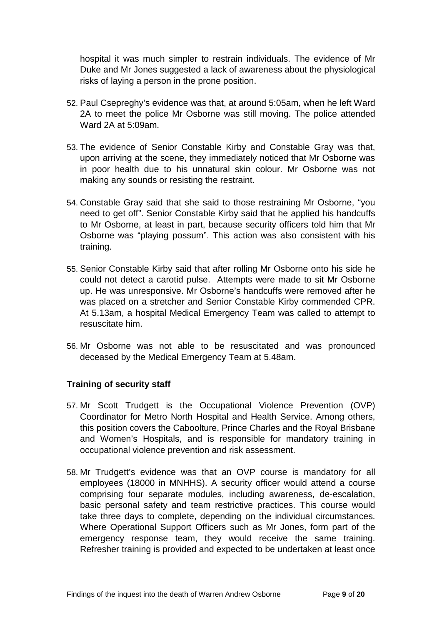hospital it was much simpler to restrain individuals. The evidence of Mr Duke and Mr Jones suggested a lack of awareness about the physiological risks of laying a person in the prone position.

- 52. Paul Csepreghy's evidence was that, at around 5:05am, when he left Ward 2A to meet the police Mr Osborne was still moving. The police attended Ward 2A at 5:09am.
- 53. The evidence of Senior Constable Kirby and Constable Gray was that, upon arriving at the scene, they immediately noticed that Mr Osborne was in poor health due to his unnatural skin colour. Mr Osborne was not making any sounds or resisting the restraint.
- 54. Constable Gray said that she said to those restraining Mr Osborne, "you need to get off". Senior Constable Kirby said that he applied his handcuffs to Mr Osborne, at least in part, because security officers told him that Mr Osborne was "playing possum". This action was also consistent with his training.
- 55. Senior Constable Kirby said that after rolling Mr Osborne onto his side he could not detect a carotid pulse. Attempts were made to sit Mr Osborne up. He was unresponsive. Mr Osborne's handcuffs were removed after he was placed on a stretcher and Senior Constable Kirby commended CPR. At 5.13am, a hospital Medical Emergency Team was called to attempt to resuscitate him.
- 56. Mr Osborne was not able to be resuscitated and was pronounced deceased by the Medical Emergency Team at 5.48am.

#### **Training of security staff**

- 57. Mr Scott Trudgett is the Occupational Violence Prevention (OVP) Coordinator for Metro North Hospital and Health Service. Among others, this position covers the Caboolture, Prince Charles and the Royal Brisbane and Women's Hospitals, and is responsible for mandatory training in occupational violence prevention and risk assessment.
- 58. Mr Trudgett's evidence was that an OVP course is mandatory for all employees (18000 in MNHHS). A security officer would attend a course comprising four separate modules, including awareness, de-escalation, basic personal safety and team restrictive practices. This course would take three days to complete, depending on the individual circumstances. Where Operational Support Officers such as Mr Jones, form part of the emergency response team, they would receive the same training. Refresher training is provided and expected to be undertaken at least once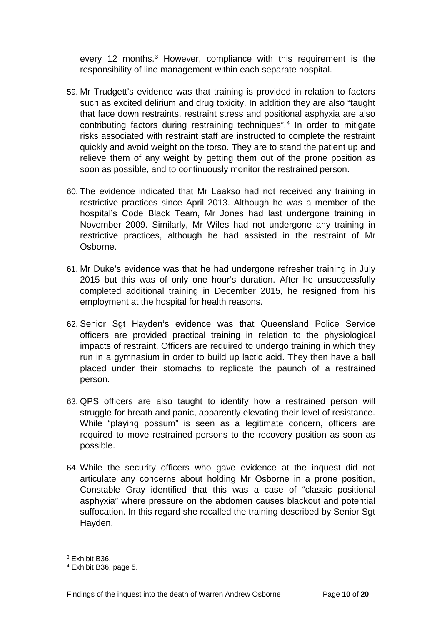every 12 months. [3](#page-11-0) However, compliance with this requirement is the responsibility of line management within each separate hospital.

- 59. Mr Trudgett's evidence was that training is provided in relation to factors such as excited delirium and drug toxicity. In addition they are also "taught that face down restraints, restraint stress and positional asphyxia are also contributing factors during restraining techniques".[4](#page-11-1) In order to mitigate risks associated with restraint staff are instructed to complete the restraint quickly and avoid weight on the torso. They are to stand the patient up and relieve them of any weight by getting them out of the prone position as soon as possible, and to continuously monitor the restrained person.
- 60. The evidence indicated that Mr Laakso had not received any training in restrictive practices since April 2013. Although he was a member of the hospital's Code Black Team, Mr Jones had last undergone training in November 2009. Similarly, Mr Wiles had not undergone any training in restrictive practices, although he had assisted in the restraint of Mr Osborne.
- 61. Mr Duke's evidence was that he had undergone refresher training in July 2015 but this was of only one hour's duration. After he unsuccessfully completed additional training in December 2015, he resigned from his employment at the hospital for health reasons.
- 62. Senior Sgt Hayden's evidence was that Queensland Police Service officers are provided practical training in relation to the physiological impacts of restraint. Officers are required to undergo training in which they run in a gymnasium in order to build up lactic acid. They then have a ball placed under their stomachs to replicate the paunch of a restrained person.
- 63. QPS officers are also taught to identify how a restrained person will struggle for breath and panic, apparently elevating their level of resistance. While "playing possum" is seen as a legitimate concern, officers are required to move restrained persons to the recovery position as soon as possible.
- 64. While the security officers who gave evidence at the inquest did not articulate any concerns about holding Mr Osborne in a prone position, Constable Gray identified that this was a case of "classic positional asphyxia" where pressure on the abdomen causes blackout and potential suffocation. In this regard she recalled the training described by Senior Sgt Hayden.

<sup>3</sup> Exhibit B36.  $\overline{a}$ 

<span id="page-11-1"></span><span id="page-11-0"></span><sup>4</sup> Exhibit B36, page 5.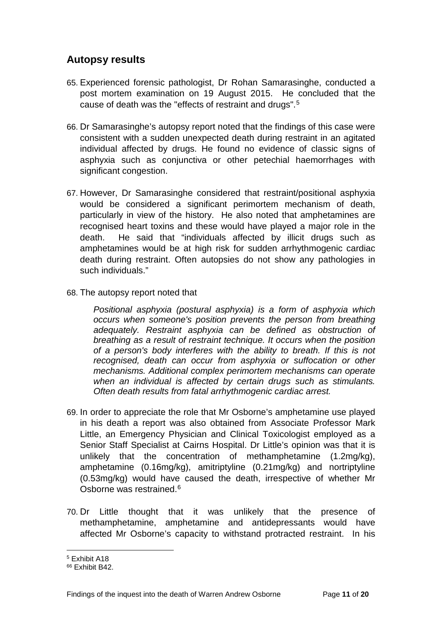## <span id="page-12-0"></span>**Autopsy results**

- 65. Experienced forensic pathologist, Dr Rohan Samarasinghe, conducted a post mortem examination on 19 August 2015. He concluded that the cause of death was the "effects of restraint and drugs".[5](#page-12-1)
- 66. Dr Samarasinghe's autopsy report noted that the findings of this case were consistent with a sudden unexpected death during restraint in an agitated individual affected by drugs. He found no evidence of classic signs of asphyxia such as conjunctiva or other petechial haemorrhages with significant congestion.
- 67. However, Dr Samarasinghe considered that restraint/positional asphyxia would be considered a significant perimortem mechanism of death, particularly in view of the history. He also noted that amphetamines are recognised heart toxins and these would have played a major role in the death. He said that "individuals affected by illicit drugs such as amphetamines would be at high risk for sudden arrhythmogenic cardiac death during restraint. Often autopsies do not show any pathologies in such individuals."
- 68. The autopsy report noted that

*Positional asphyxia (postural asphyxia) is a form of asphyxia which occurs when someone's position prevents the person from breathing adequately. Restraint asphyxia can be defined as obstruction of breathing as a result of restraint technique. It occurs when the position of a person's body interferes with the ability to breath. If this is not recognised, death can occur from asphyxia or suffocation or other mechanisms. Additional complex perimortem mechanisms can operate when an individual is affected by certain drugs such as stimulants. Often death results from fatal arrhythmogenic cardiac arrest.*

- 69. In order to appreciate the role that Mr Osborne's amphetamine use played in his death a report was also obtained from Associate Professor Mark Little, an Emergency Physician and Clinical Toxicologist employed as a Senior Staff Specialist at Cairns Hospital. Dr Little's opinion was that it is unlikely that the concentration of methamphetamine (1.2mg/kg), amphetamine (0.16mg/kg), amitriptyline (0.21mg/kg) and nortriptyline (0.53mg/kg) would have caused the death, irrespective of whether Mr Osborne was restrained.<sup>[6](#page-12-2)</sup>
- 70. Dr Little thought that it was unlikely that the presence of methamphetamine, amphetamine and antidepressants would have affected Mr Osborne's capacity to withstand protracted restraint. In his

<sup>5</sup> Exhibit A18  $\overline{a}$ 

<span id="page-12-2"></span><span id="page-12-1"></span><sup>66</sup> Exhibit B42.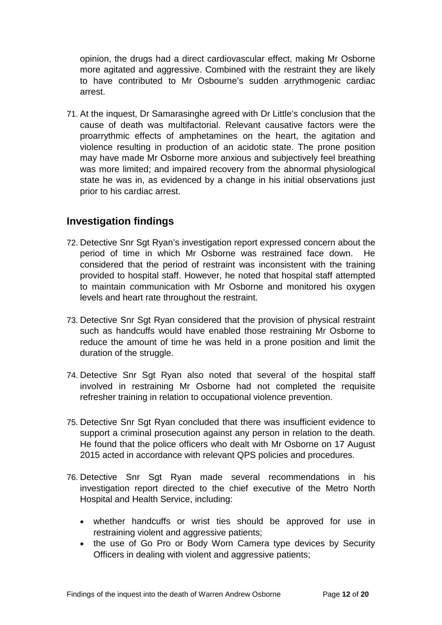opinion, the drugs had a direct cardiovascular effect, making Mr Osborne more agitated and aggressive. Combined with the restraint they are likely to have contributed to Mr Osbourne's sudden arrythmogenic cardiac arrest.

71. At the inquest, Dr Samarasinghe agreed with Dr Little's conclusion that the cause of death was multifactorial. Relevant causative factors were the proarrythmic effects of amphetamines on the heart, the agitation and violence resulting in production of an acidotic state. The prone position may have made Mr Osborne more anxious and subjectively feel breathing was more limited; and impaired recovery from the abnormal physiological state he was in, as evidenced by a change in his initial observations just prior to his cardiac arrest.

## <span id="page-13-0"></span>**Investigation findings**

- 72. Detective Snr Sgt Ryan's investigation report expressed concern about the period of time in which Mr Osborne was restrained face down. He considered that the period of restraint was inconsistent with the training provided to hospital staff. However, he noted that hospital staff attempted to maintain communication with Mr Osborne and monitored his oxygen levels and heart rate throughout the restraint.
- 73. Detective Snr Sgt Ryan considered that the provision of physical restraint such as handcuffs would have enabled those restraining Mr Osborne to reduce the amount of time he was held in a prone position and limit the duration of the struggle.
- 74. Detective Snr Sgt Ryan also noted that several of the hospital staff involved in restraining Mr Osborne had not completed the requisite refresher training in relation to occupational violence prevention.
- 75. Detective Snr Sgt Ryan concluded that there was insufficient evidence to support a criminal prosecution against any person in relation to the death. He found that the police officers who dealt with Mr Osborne on 17 August 2015 acted in accordance with relevant QPS policies and procedures.
- 76. Detective Snr Sgt Ryan made several recommendations in his investigation report directed to the chief executive of the Metro North Hospital and Health Service, including:
	- whether handcuffs or wrist ties should be approved for use in restraining violent and aggressive patients;
	- the use of Go Pro or Body Worn Camera type devices by Security Officers in dealing with violent and aggressive patients;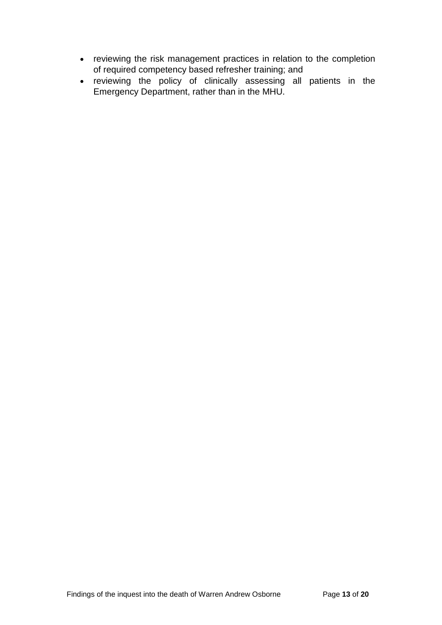- reviewing the risk management practices in relation to the completion of required competency based refresher training; and
- reviewing the policy of clinically assessing all patients in the Emergency Department, rather than in the MHU.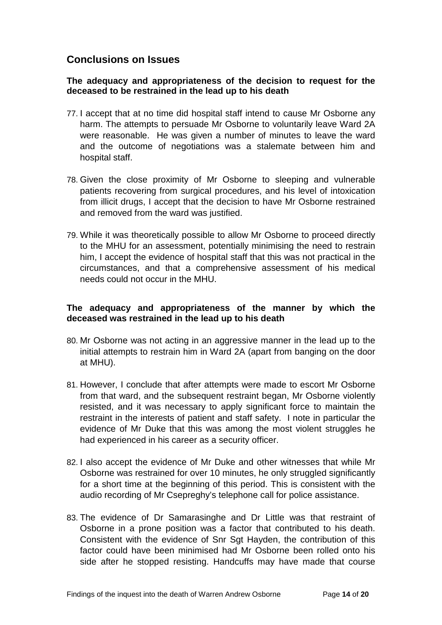## <span id="page-15-0"></span>**Conclusions on Issues**

#### **The adequacy and appropriateness of the decision to request for the deceased to be restrained in the lead up to his death**

- 77. I accept that at no time did hospital staff intend to cause Mr Osborne any harm. The attempts to persuade Mr Osborne to voluntarily leave Ward 2A were reasonable. He was given a number of minutes to leave the ward and the outcome of negotiations was a stalemate between him and hospital staff.
- 78. Given the close proximity of Mr Osborne to sleeping and vulnerable patients recovering from surgical procedures, and his level of intoxication from illicit drugs, I accept that the decision to have Mr Osborne restrained and removed from the ward was justified.
- 79. While it was theoretically possible to allow Mr Osborne to proceed directly to the MHU for an assessment, potentially minimising the need to restrain him, I accept the evidence of hospital staff that this was not practical in the circumstances, and that a comprehensive assessment of his medical needs could not occur in the MHU.

#### **The adequacy and appropriateness of the manner by which the deceased was restrained in the lead up to his death**

- 80. Mr Osborne was not acting in an aggressive manner in the lead up to the initial attempts to restrain him in Ward 2A (apart from banging on the door at MHU).
- 81. However, I conclude that after attempts were made to escort Mr Osborne from that ward, and the subsequent restraint began, Mr Osborne violently resisted, and it was necessary to apply significant force to maintain the restraint in the interests of patient and staff safety. I note in particular the evidence of Mr Duke that this was among the most violent struggles he had experienced in his career as a security officer.
- 82. I also accept the evidence of Mr Duke and other witnesses that while Mr Osborne was restrained for over 10 minutes, he only struggled significantly for a short time at the beginning of this period. This is consistent with the audio recording of Mr Csepreghy's telephone call for police assistance.
- 83. The evidence of Dr Samarasinghe and Dr Little was that restraint of Osborne in a prone position was a factor that contributed to his death. Consistent with the evidence of Snr Sgt Hayden, the contribution of this factor could have been minimised had Mr Osborne been rolled onto his side after he stopped resisting. Handcuffs may have made that course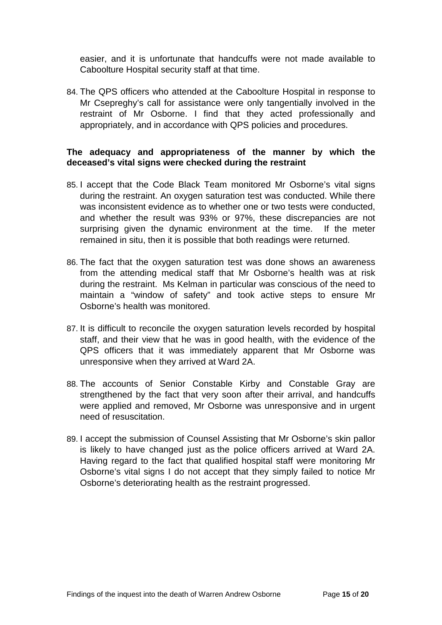easier, and it is unfortunate that handcuffs were not made available to Caboolture Hospital security staff at that time.

84. The QPS officers who attended at the Caboolture Hospital in response to Mr Csepreghy's call for assistance were only tangentially involved in the restraint of Mr Osborne. I find that they acted professionally and appropriately, and in accordance with QPS policies and procedures.

#### **The adequacy and appropriateness of the manner by which the deceased's vital signs were checked during the restraint**

- 85. I accept that the Code Black Team monitored Mr Osborne's vital signs during the restraint. An oxygen saturation test was conducted. While there was inconsistent evidence as to whether one or two tests were conducted, and whether the result was 93% or 97%, these discrepancies are not surprising given the dynamic environment at the time. If the meter remained in situ, then it is possible that both readings were returned.
- 86. The fact that the oxygen saturation test was done shows an awareness from the attending medical staff that Mr Osborne's health was at risk during the restraint. Ms Kelman in particular was conscious of the need to maintain a "window of safety" and took active steps to ensure Mr Osborne's health was monitored.
- 87. It is difficult to reconcile the oxygen saturation levels recorded by hospital staff, and their view that he was in good health, with the evidence of the QPS officers that it was immediately apparent that Mr Osborne was unresponsive when they arrived at Ward 2A.
- 88. The accounts of Senior Constable Kirby and Constable Gray are strengthened by the fact that very soon after their arrival, and handcuffs were applied and removed, Mr Osborne was unresponsive and in urgent need of resuscitation.
- 89. I accept the submission of Counsel Assisting that Mr Osborne's skin pallor is likely to have changed just as the police officers arrived at Ward 2A. Having regard to the fact that qualified hospital staff were monitoring Mr Osborne's vital signs I do not accept that they simply failed to notice Mr Osborne's deteriorating health as the restraint progressed.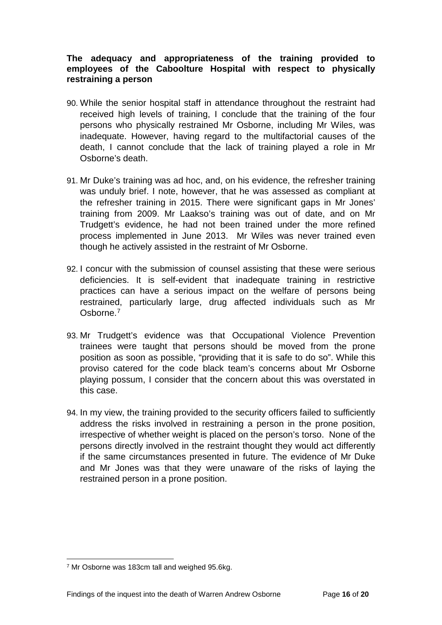#### **The adequacy and appropriateness of the training provided to employees of the Caboolture Hospital with respect to physically restraining a person**

- 90. While the senior hospital staff in attendance throughout the restraint had received high levels of training, I conclude that the training of the four persons who physically restrained Mr Osborne, including Mr Wiles, was inadequate. However, having regard to the multifactorial causes of the death, I cannot conclude that the lack of training played a role in Mr Osborne's death.
- 91. Mr Duke's training was ad hoc, and, on his evidence, the refresher training was unduly brief. I note, however, that he was assessed as compliant at the refresher training in 2015. There were significant gaps in Mr Jones' training from 2009. Mr Laakso's training was out of date, and on Mr Trudgett's evidence, he had not been trained under the more refined process implemented in June 2013. Mr Wiles was never trained even though he actively assisted in the restraint of Mr Osborne.
- 92. I concur with the submission of counsel assisting that these were serious deficiencies. It is self-evident that inadequate training in restrictive practices can have a serious impact on the welfare of persons being restrained, particularly large, drug affected individuals such as Mr Osborne.[7](#page-17-0)
- 93. Mr Trudgett's evidence was that Occupational Violence Prevention trainees were taught that persons should be moved from the prone position as soon as possible, "providing that it is safe to do so". While this proviso catered for the code black team's concerns about Mr Osborne playing possum, I consider that the concern about this was overstated in this case.
- 94. In my view, the training provided to the security officers failed to sufficiently address the risks involved in restraining a person in the prone position, irrespective of whether weight is placed on the person's torso. None of the persons directly involved in the restraint thought they would act differently if the same circumstances presented in future. The evidence of Mr Duke and Mr Jones was that they were unaware of the risks of laying the restrained person in a prone position.

<span id="page-17-0"></span><sup>7</sup> Mr Osborne was 183cm tall and weighed 95.6kg.  $\overline{a}$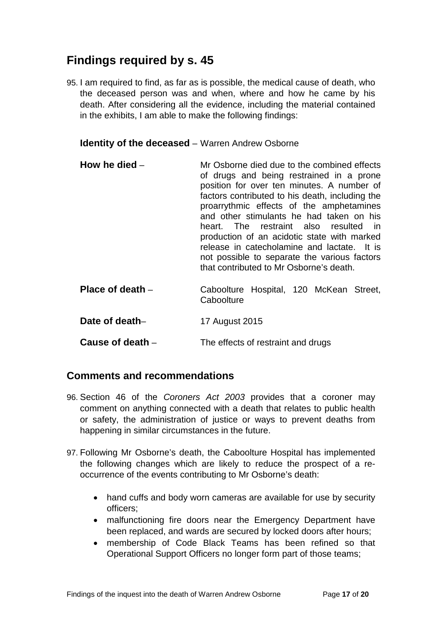## <span id="page-18-0"></span>**Findings required by s. 45**

95. I am required to find, as far as is possible, the medical cause of death, who the deceased person was and when, where and how he came by his death. After considering all the evidence, including the material contained in the exhibits, I am able to make the following findings:

<span id="page-18-1"></span>**Identity of the deceased** – Warren Andrew Osborne

<span id="page-18-2"></span>

| How he died $-$    | Mr Osborne died due to the combined effects<br>of drugs and being restrained in a prone<br>position for over ten minutes. A number of<br>factors contributed to his death, including the<br>proarrythmic effects of the amphetamines<br>and other stimulants he had taken on his<br>heart. The restraint also resulted in<br>production of an acidotic state with marked<br>release in catecholamine and lactate. It is<br>not possible to separate the various factors<br>that contributed to Mr Osborne's death. |
|--------------------|--------------------------------------------------------------------------------------------------------------------------------------------------------------------------------------------------------------------------------------------------------------------------------------------------------------------------------------------------------------------------------------------------------------------------------------------------------------------------------------------------------------------|
| Place of death $-$ | Caboolture Hospital, 120 McKean Street,<br>Caboolture                                                                                                                                                                                                                                                                                                                                                                                                                                                              |

<span id="page-18-4"></span><span id="page-18-3"></span>Date of death-<br>
17 August 2015

<span id="page-18-5"></span>**Cause of death** – The effects of restraint and drugs

#### <span id="page-18-6"></span>**Comments and recommendations**

- 96. Section 46 of the *Coroners Act 2003* provides that a coroner may comment on anything connected with a death that relates to public health or safety, the administration of justice or ways to prevent deaths from happening in similar circumstances in the future.
- 97. Following Mr Osborne's death, the Caboolture Hospital has implemented the following changes which are likely to reduce the prospect of a reoccurrence of the events contributing to Mr Osborne's death:
	- hand cuffs and body worn cameras are available for use by security officers;
	- malfunctioning fire doors near the Emergency Department have been replaced, and wards are secured by locked doors after hours;
	- membership of Code Black Teams has been refined so that Operational Support Officers no longer form part of those teams;